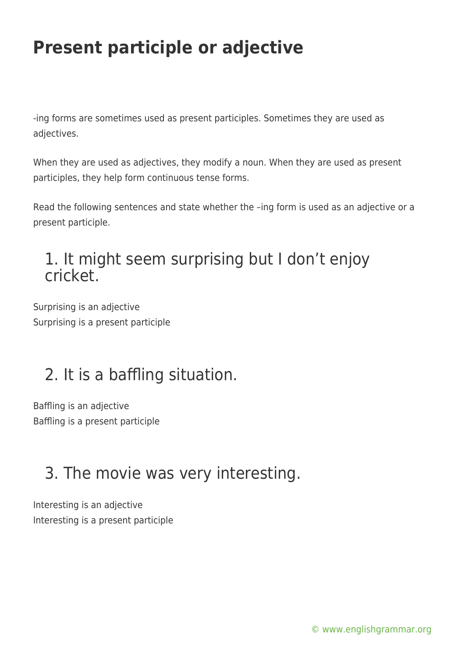# **Present participle or adjective**

-ing forms are sometimes used as present participles. Sometimes they are used as adjectives.

When they are used as adjectives, they modify a noun. When they are used as present participles, they help form continuous tense forms.

Read the following sentences and state whether the –ing form is used as an adjective or a present participle.

#### 1. It might seem surprising but I don't enjoy cricket.

Surprising is an adjective Surprising is a present participle

## 2. It is a baffling situation.

Baffling is an adjective Baffling is a present participle

## 3. The movie was very interesting.

Interesting is an adjective Interesting is a present participle

[© www.englishgrammar.org](https://www.englishgrammar.org/)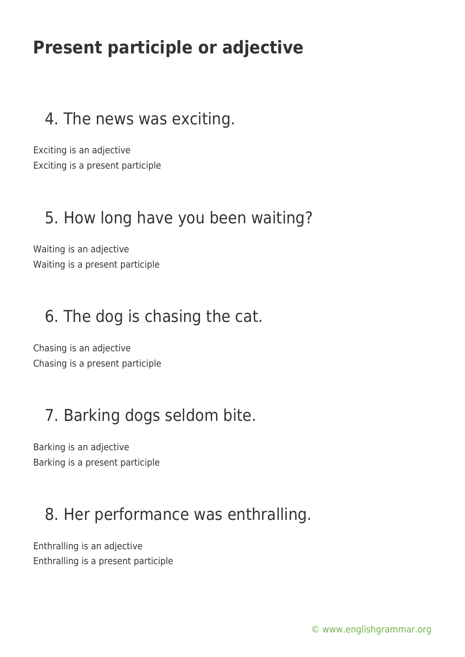# **Present participle or adjective**

#### 4. The news was exciting.

Exciting is an adjective Exciting is a present participle

#### 5. How long have you been waiting?

Waiting is an adjective Waiting is a present participle

#### 6. The dog is chasing the cat.

Chasing is an adjective Chasing is a present participle

### 7. Barking dogs seldom bite.

Barking is an adjective Barking is a present participle

#### 8. Her performance was enthralling.

Enthralling is an adjective Enthralling is a present participle